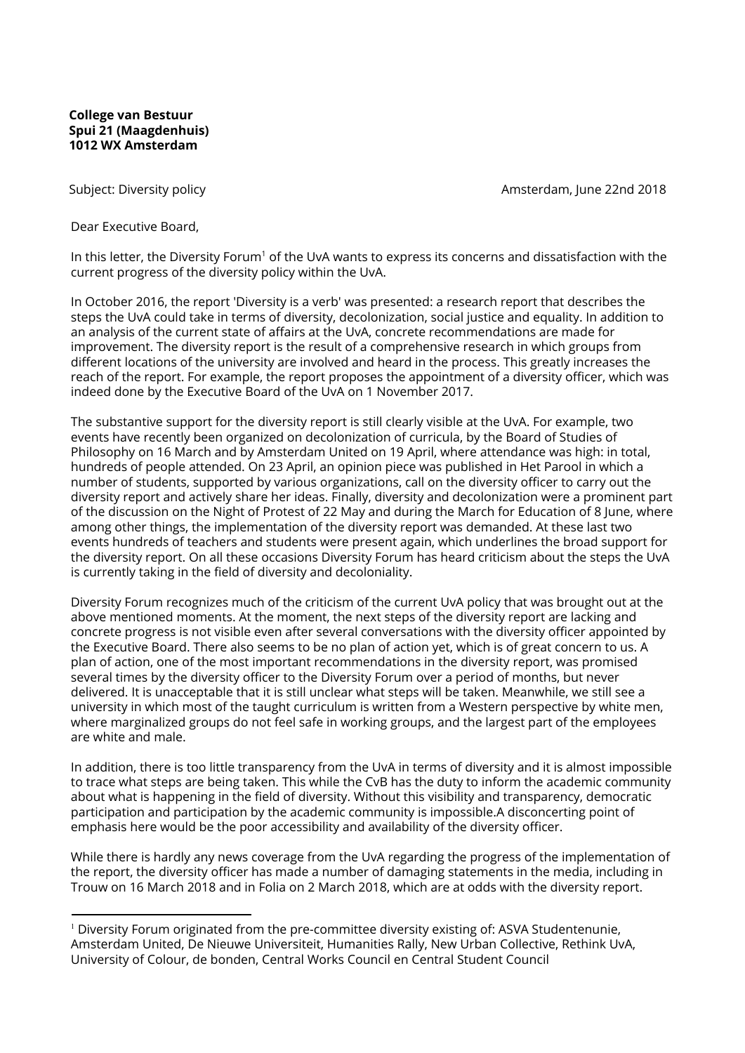## **College van Bestuur Spui 21 (Maagdenhuis) 1012 WX Amsterdam**

Subject: Diversity policy and the control of the control of the control of the control of the control of the control of the control of the control of the control of the control of the control of the control of the control

Dear Executive Board,

In this letter, the Diversity Forum<sup>1</sup> of the UvA wants to express its concerns and dissatisfaction with the current progress of the diversity policy within the UvA.

In October 2016, the report 'Diversity is a verb' was presented: a research report that describes the steps the UvA could take in terms of diversity, decolonization, social justice and equality. In addition to an analysis of the current state of affairs at the UvA, concrete recommendations are made for improvement. The diversity report is the result of a comprehensive research in which groups from different locations of the university are involved and heard in the process. This greatly increases the reach of the report. For example, the report proposes the appointment of a diversity officer, which was indeed done by the Executive Board of the UvA on 1 November 2017.

The substantive support for the diversity report is still clearly visible at the UvA. For example, two events have recently been organized on decolonization of curricula, by the Board of Studies of Philosophy on 16 March and by Amsterdam United on 19 April, where attendance was high: in total, hundreds of people attended. On 23 April, an opinion piece was published in Het Parool in which a number of students, supported by various organizations, call on the diversity officer to carry out the diversity report and actively share her ideas. Finally, diversity and decolonization were a prominent part of the discussion on the Night of Protest of 22 May and during the March for Education of 8 June, where among other things, the implementation of the diversity report was demanded. At these last two events hundreds of teachers and students were present again, which underlines the broad support for the diversity report. On all these occasions Diversity Forum has heard criticism about the steps the UvA is currently taking in the field of diversity and decoloniality.

Diversity Forum recognizes much of the criticism of the current UvA policy that was brought out at the above mentioned moments. At the moment, the next steps of the diversity report are lacking and concrete progress is not visible even after several conversations with the diversity officer appointed by the Executive Board. There also seems to be no plan of action yet, which is of great concern to us. A plan of action, one of the most important recommendations in the diversity report, was promised several times by the diversity officer to the Diversity Forum over a period of months, but never delivered. It is unacceptable that it is still unclear what steps will be taken. Meanwhile, we still see a university in which most of the taught curriculum is written from a Western perspective by white men, where marginalized groups do not feel safe in working groups, and the largest part of the employees are white and male.

In addition, there is too little transparency from the UvA in terms of diversity and it is almost impossible to trace what steps are being taken. This while the CvB has the duty to inform the academic community about what is happening in the field of diversity. Without this visibility and transparency, democratic participation and participation by the academic community is impossible.A disconcerting point of emphasis here would be the poor accessibility and availability of the diversity officer.

While there is hardly any news coverage from the UvA regarding the progress of the implementation of the report, the diversity officer has made a number of damaging statements in the media, including in Trouw on 16 March 2018 and in Folia on 2 March 2018, which are at odds with the diversity report.

<sup>1</sup> Diversity Forum originated from the pre-committee diversity existing of: ASVA Studentenunie, Amsterdam United, De Nieuwe Universiteit, Humanities Rally, New Urban Collective, Rethink UvA, University of Colour, de bonden, Central Works Council en Central Student Council